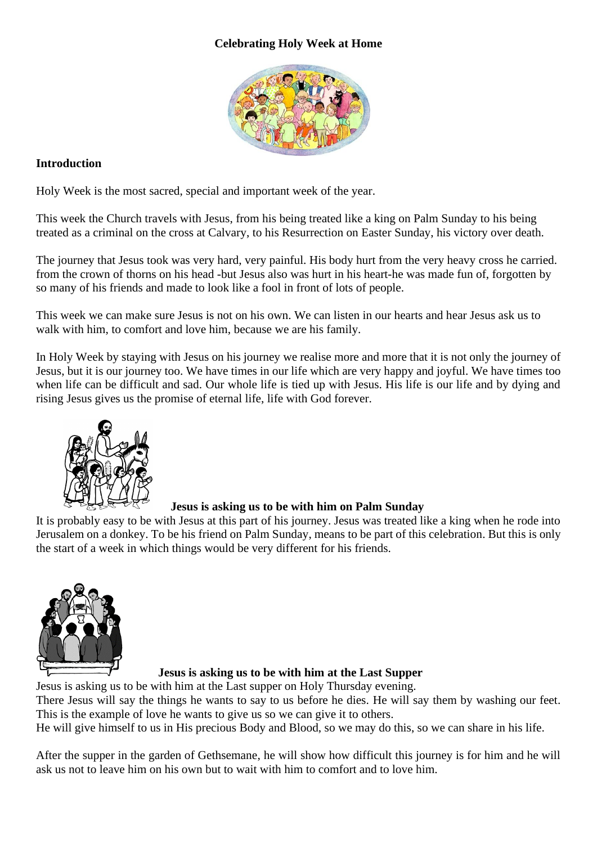## **Celebrating Holy Week at Home**



## **Introduction**

Holy Week is the most sacred, special and important week of the year.

This week the Church travels with Jesus, from his being treated like a king on Palm Sunday to his being treated as a criminal on the cross at Calvary, to his Resurrection on Easter Sunday, his victory over death.

The journey that Jesus took was very hard, very painful. His body hurt from the very heavy cross he carried. from the crown of thorns on his head -but Jesus also was hurt in his heart-he was made fun of, forgotten by so many of his friends and made to look like a fool in front of lots of people.

This week we can make sure Jesus is not on his own. We can listen in our hearts and hear Jesus ask us to walk with him, to comfort and love him, because we are his family.

In Holy Week by staying with Jesus on his journey we realise more and more that it is not only the journey of Jesus, but it is our journey too. We have times in our life which are very happy and joyful. We have times too when life can be difficult and sad. Our whole life is tied up with Jesus. His life is our life and by dying and rising Jesus gives us the promise of eternal life, life with God forever.



 **Jesus is asking us to be with him on Palm Sunday**

It is probably easy to be with Jesus at this part of his journey. Jesus was treated like a king when he rode into Jerusalem on a donkey. To be his friend on Palm Sunday, means to be part of this celebration. But this is only the start of a week in which things would be very different for his friends.



## **Jesus is asking us to be with him at the Last Supper**

Jesus is asking us to be with him at the Last supper on Holy Thursday evening.

There Jesus will say the things he wants to say to us before he dies. He will say them by washing our feet. This is the example of love he wants to give us so we can give it to others.

He will give himself to us in His precious Body and Blood, so we may do this, so we can share in his life.

After the supper in the garden of Gethsemane, he will show how difficult this journey is for him and he will ask us not to leave him on his own but to wait with him to comfort and to love him.